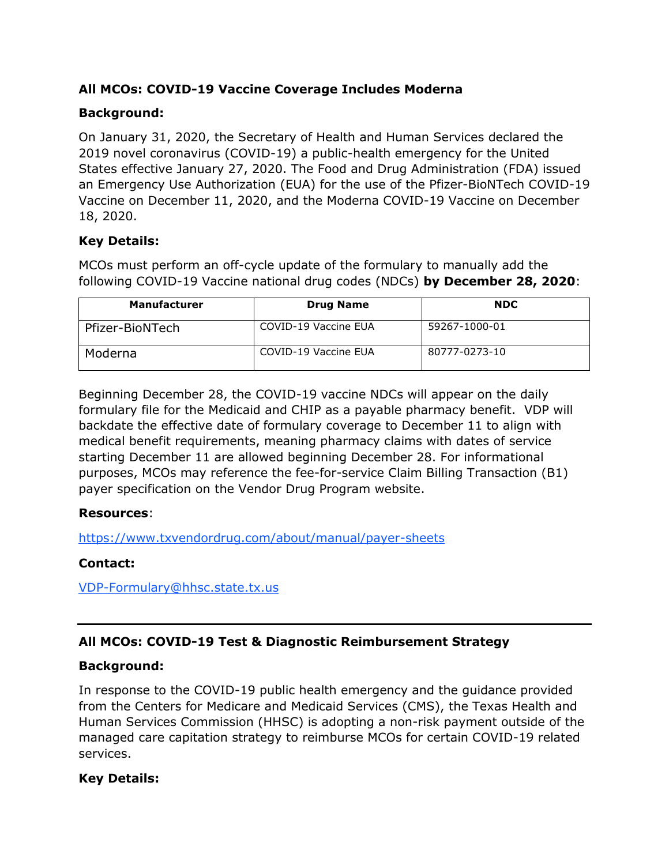# **All MCOs: COVID-19 Vaccine Coverage Includes Moderna**

# **Background:**

On January 31, 2020, the Secretary of Health and Human Services declared the 2019 novel coronavirus (COVID-19) a public-health emergency for the United States effective January 27, 2020. The Food and Drug Administration (FDA) issued an Emergency Use Authorization (EUA) for the use of the Pfizer-BioNTech COVID-19 Vaccine on December 11, 2020, and the Moderna COVID-19 Vaccine on December 18, 2020.

# **Key Details:**

MCOs must perform an off-cycle update of the formulary to manually add the following COVID-19 Vaccine national drug codes (NDCs) **by December 28, 2020**:

| <b>Manufacturer</b> | <b>Drug Name</b>     | <b>NDC</b>    |
|---------------------|----------------------|---------------|
| Pfizer-BioNTech     | COVID-19 Vaccine EUA | 59267-1000-01 |
| Moderna             | COVID-19 Vaccine EUA | 80777-0273-10 |

Beginning December 28, the COVID-19 vaccine NDCs will appear on the daily formulary file for the Medicaid and CHIP as a payable pharmacy benefit. VDP will backdate the effective date of formulary coverage to December 11 to align with medical benefit requirements, meaning pharmacy claims with dates of service starting December 11 are allowed beginning December 28. For informational purposes, MCOs may reference the fee-for-service Claim Billing Transaction (B1) payer specification on the Vendor Drug Program website.

# **Resources**:

<https://www.txvendordrug.com/about/manual/payer-sheets>

# **Contact:**

[VDP-Formulary@hhsc.state.tx.us](mailto:VDP-Formulary@hhsc.state.tx.us)

# **All MCOs: COVID-19 Test & Diagnostic Reimbursement Strategy**

# **Background:**

In response to the COVID-19 public health emergency and the guidance provided from the Centers for Medicare and Medicaid Services (CMS), the Texas Health and Human Services Commission (HHSC) is adopting a non-risk payment outside of the managed care capitation strategy to reimburse MCOs for certain COVID-19 related services.

# **Key Details:**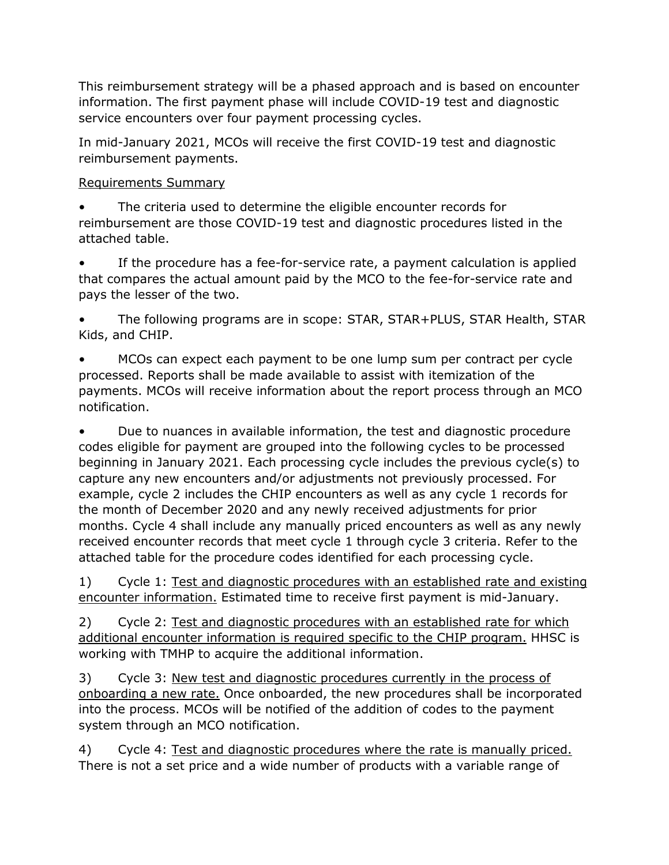This reimbursement strategy will be a phased approach and is based on encounter information. The first payment phase will include COVID-19 test and diagnostic service encounters over four payment processing cycles.

In mid-January 2021, MCOs will receive the first COVID-19 test and diagnostic reimbursement payments.

#### Requirements Summary

The criteria used to determine the eligible encounter records for reimbursement are those COVID-19 test and diagnostic procedures listed in the attached table.

If the procedure has a fee-for-service rate, a payment calculation is applied that compares the actual amount paid by the MCO to the fee-for-service rate and pays the lesser of the two.

• The following programs are in scope: STAR, STAR+PLUS, STAR Health, STAR Kids, and CHIP.

• MCOs can expect each payment to be one lump sum per contract per cycle processed. Reports shall be made available to assist with itemization of the payments. MCOs will receive information about the report process through an MCO notification.

• Due to nuances in available information, the test and diagnostic procedure codes eligible for payment are grouped into the following cycles to be processed beginning in January 2021. Each processing cycle includes the previous cycle(s) to capture any new encounters and/or adjustments not previously processed. For example, cycle 2 includes the CHIP encounters as well as any cycle 1 records for the month of December 2020 and any newly received adjustments for prior months. Cycle 4 shall include any manually priced encounters as well as any newly received encounter records that meet cycle 1 through cycle 3 criteria. Refer to the attached table for the procedure codes identified for each processing cycle.

1) Cycle 1: Test and diagnostic procedures with an established rate and existing encounter information. Estimated time to receive first payment is mid-January.

2) Cycle 2: Test and diagnostic procedures with an established rate for which additional encounter information is required specific to the CHIP program. HHSC is working with TMHP to acquire the additional information.

3) Cycle 3: New test and diagnostic procedures currently in the process of onboarding a new rate. Once onboarded, the new procedures shall be incorporated into the process. MCOs will be notified of the addition of codes to the payment system through an MCO notification.

4) Cycle 4: Test and diagnostic procedures where the rate is manually priced. There is not a set price and a wide number of products with a variable range of